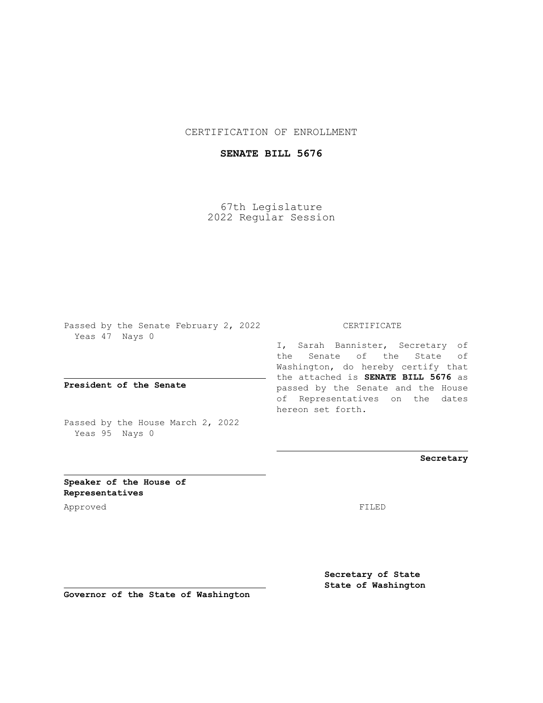## CERTIFICATION OF ENROLLMENT

## **SENATE BILL 5676**

67th Legislature 2022 Regular Session

Passed by the Senate February 2, 2022 Yeas 47 Nays 0

**President of the Senate**

Passed by the House March 2, 2022 Yeas 95 Nays 0

CERTIFICATE

I, Sarah Bannister, Secretary of the Senate of the State of Washington, do hereby certify that the attached is **SENATE BILL 5676** as passed by the Senate and the House of Representatives on the dates hereon set forth.

**Secretary**

**Speaker of the House of Representatives**

Approved FILED

**Secretary of State State of Washington**

**Governor of the State of Washington**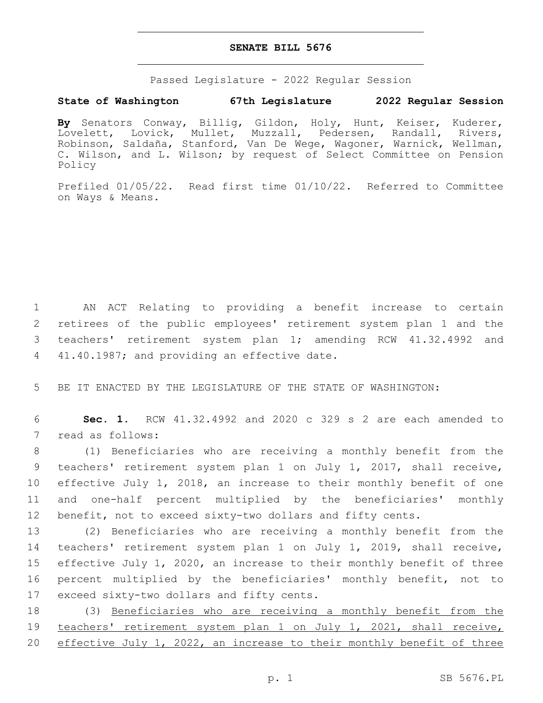## **SENATE BILL 5676**

Passed Legislature - 2022 Regular Session

## **State of Washington 67th Legislature 2022 Regular Session**

**By** Senators Conway, Billig, Gildon, Holy, Hunt, Keiser, Kuderer, Lovelett, Lovick, Mullet, Muzzall, Pedersen, Randall, Rivers, Robinson, Saldaña, Stanford, Van De Wege, Wagoner, Warnick, Wellman, C. Wilson, and L. Wilson; by request of Select Committee on Pension Policy

Prefiled 01/05/22. Read first time 01/10/22. Referred to Committee on Ways & Means.

 AN ACT Relating to providing a benefit increase to certain retirees of the public employees' retirement system plan 1 and the teachers' retirement system plan 1; amending RCW 41.32.4992 and 4 41.40.1987; and providing an effective date.

5 BE IT ENACTED BY THE LEGISLATURE OF THE STATE OF WASHINGTON:

6 **Sec. 1.** RCW 41.32.4992 and 2020 c 329 s 2 are each amended to 7 read as follows:

 (1) Beneficiaries who are receiving a monthly benefit from the teachers' retirement system plan 1 on July 1, 2017, shall receive, effective July 1, 2018, an increase to their monthly benefit of one and one-half percent multiplied by the beneficiaries' monthly benefit, not to exceed sixty-two dollars and fifty cents.

 (2) Beneficiaries who are receiving a monthly benefit from the teachers' retirement system plan 1 on July 1, 2019, shall receive, effective July 1, 2020, an increase to their monthly benefit of three percent multiplied by the beneficiaries' monthly benefit, not to 17 exceed sixty-two dollars and fifty cents.

18 (3) Beneficiaries who are receiving a monthly benefit from the 19 teachers' retirement system plan 1 on July 1, 2021, shall receive, 20 effective July 1, 2022, an increase to their monthly benefit of three